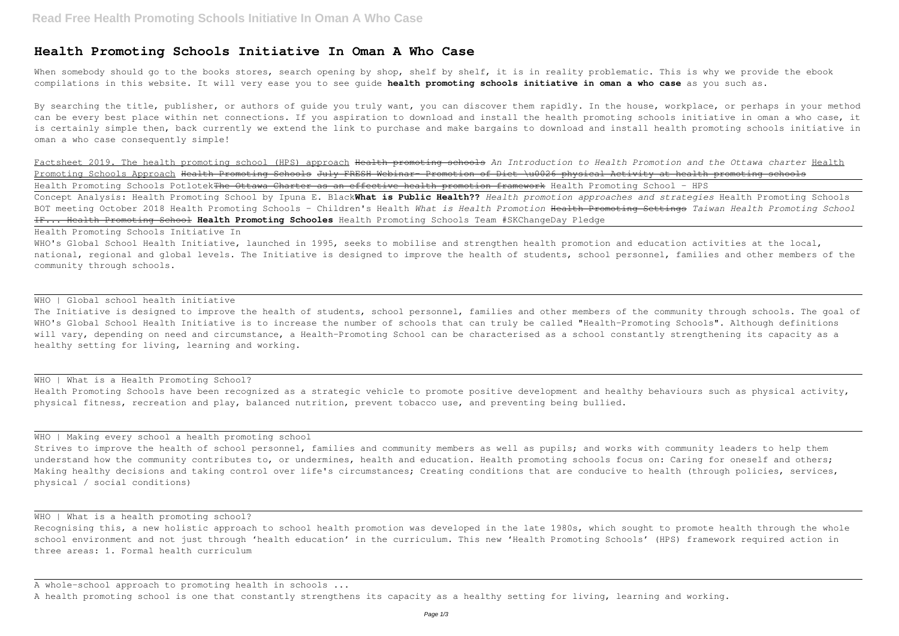# **Health Promoting Schools Initiative In Oman A Who Case**

When somebody should go to the books stores, search opening by shop, shelf by shelf, it is in reality problematic. This is why we provide the ebook compilations in this website. It will very ease you to see guide **health promoting schools initiative in oman a who case** as you such as.

By searching the title, publisher, or authors of quide you truly want, you can discover them rapidly. In the house, workplace, or perhaps in your method can be every best place within net connections. If you aspiration to download and install the health promoting schools initiative in oman a who case, it is certainly simple then, back currently we extend the link to purchase and make bargains to download and install health promoting schools initiative in oman a who case consequently simple!

WHO's Global School Health Initiative, launched in 1995, seeks to mobilise and strengthen health promotion and education activities at the local, national, regional and global levels. The Initiative is designed to improve the health of students, school personnel, families and other members of the community through schools.

# WHO | Global school health initiative

Factsheet 2019. The health promoting school (HPS) approach Health promoting schools *An Introduction to Health Promotion and the Ottawa charter* Health Promoting Schools Approach Health Promoting Schools July FRESH Webinar Promotion of Diet \u0026 physical Activity at health promoting schools Health Promoting Schools Potlotek<del>The Ottawa Charter as an effective health promotion framework</del> Health Promoting School - HPS Concept Analysis: Health Promoting School by Ipuna E. Black**What is Public Health??** *Health promotion approaches and strategies* Health Promoting Schools BOT meeting October 2018 Health Promoting Schools - Children's Health *What is Health Promotion* Health Promoting Settings *Taiwan Health Promoting School* IF... Health Promoting School **Health Promoting Schooles** Health Promoting Schools Team #SKChangeDay Pledge

The Initiative is designed to improve the health of students, school personnel, families and other members of the community through schools. The goal of WHO's Global School Health Initiative is to increase the number of schools that can truly be called "Health-Promoting Schools". Although definitions will vary, depending on need and circumstance, a Health-Promoting School can be characterised as a school constantly strengthening its capacity as a healthy setting for living, learning and working.

#### WHO | What is a Health Promoting School?

Strives to improve the health of school personnel, families and community members as well as pupils; and works with community leaders to help them understand how the community contributes to, or undermines, health and education. Health promoting schools focus on: Caring for oneself and others; Making healthy decisions and taking control over life's circumstances; Creating conditions that are conducive to health (through policies, services, physical / social conditions)

# WHO | What is a health promoting school?

Health Promoting Schools Initiative In

Health Promoting Schools have been recognized as a strategic vehicle to promote positive development and healthy behaviours such as physical activity, physical fitness, recreation and play, balanced nutrition, prevent tobacco use, and preventing being bullied.

### WHO | Making every school a health promoting school

Recognising this, a new holistic approach to school health promotion was developed in the late 1980s, which sought to promote health through the whole school environment and not just through 'health education' in the curriculum. This new 'Health Promoting Schools' (HPS) framework required action in three areas: 1. Formal health curriculum

A whole-school approach to promoting health in schools ...

A health promoting school is one that constantly strengthens its capacity as a healthy setting for living, learning and working.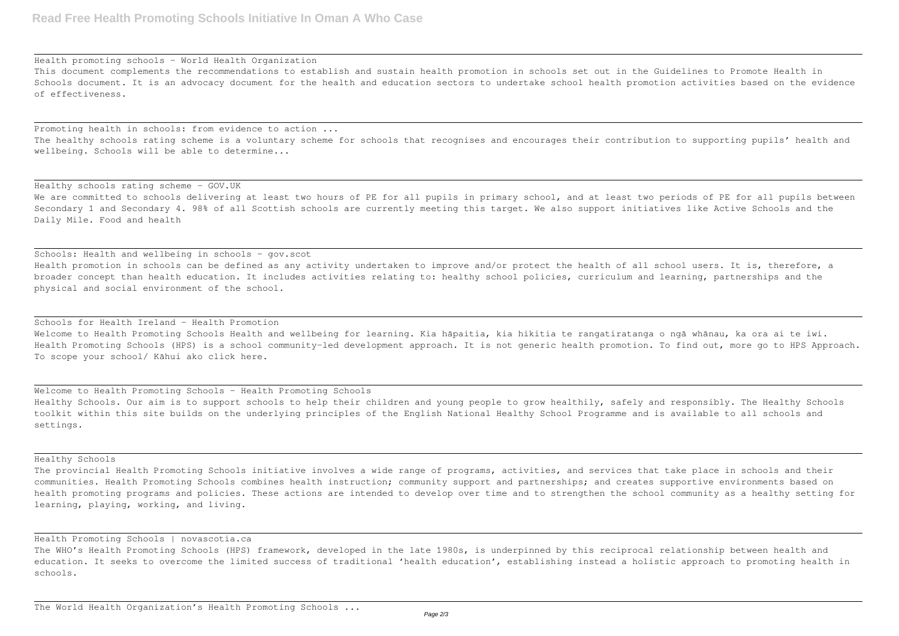Health promoting schools - World Health Organization

This document complements the recommendations to establish and sustain health promotion in schools set out in the Guidelines to Promote Health in Schools document. It is an advocacy document for the health and education sectors to undertake school health promotion activities based on the evidence of effectiveness.

Healthy schools rating scheme - GOV.UK We are committed to schools delivering at least two hours of PE for all pupils in primary school, and at least two periods of PE for all pupils between Secondary 1 and Secondary 4. 98% of all Scottish schools are currently meeting this target. We also support initiatives like Active Schools and the Daily Mile. Food and health

Promoting health in schools: from evidence to action ... The healthy schools rating scheme is a voluntary scheme for schools that recognises and encourages their contribution to supporting pupils' health and wellbeing. Schools will be able to determine...

Schools: Health and wellbeing in schools - gov.scot Health promotion in schools can be defined as any activity undertaken to improve and/or protect the health of all school users. It is, therefore, a broader concept than health education. It includes activities relating to: healthy school policies, curriculum and learning, partnerships and the physical and social environment of the school.

Schools for Health Ireland - Health Promotion Welcome to Health Promoting Schools Health and wellbeing for learning. Kia hāpaitia, kia hikitia te rangatiratanga o ngā whānau, ka ora ai te iwi. Health Promoting Schools (HPS) is a school community-led development approach. It is not generic health promotion. To find out, more go to HPS Approach. To scope your school/ Kāhui ako click here.

Welcome to Health Promoting Schools - Health Promoting Schools Healthy Schools. Our aim is to support schools to help their children and young people to grow healthily, safely and responsibly. The Healthy Schools toolkit within this site builds on the underlying principles of the English National Healthy School Programme and is available to all schools and settings.

The WHO's Health Promoting Schools (HPS) framework, developed in the late 1980s, is underpinned by this reciprocal relationship between health and education. It seeks to overcome the limited success of traditional 'health education', establishing instead a holistic approach to promoting health in schools.

Healthy Schools

The provincial Health Promoting Schools initiative involves a wide range of programs, activities, and services that take place in schools and their communities. Health Promoting Schools combines health instruction; community support and partnerships; and creates supportive environments based on health promoting programs and policies. These actions are intended to develop over time and to strengthen the school community as a healthy setting for learning, playing, working, and living.

Health Promoting Schools | novascotia.ca